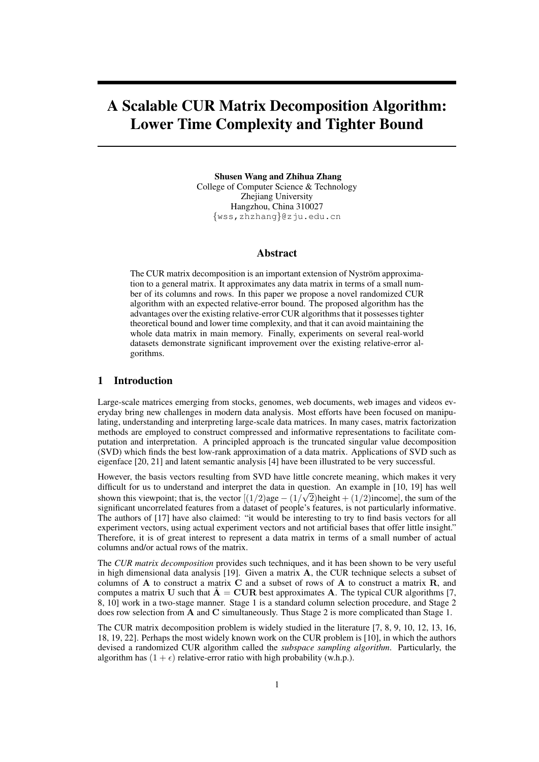# A Scalable CUR Matrix Decomposition Algorithm: Lower Time Complexity and Tighter Bound

Shusen Wang and Zhihua Zhang College of Computer Science & Technology Zhejiang University Hangzhou, China 310027 *{*wss,zhzhang*}*@zju.edu.cn

# Abstract

The CUR matrix decomposition is an important extension of Nyström approximation to a general matrix. It approximates any data matrix in terms of a small number of its columns and rows. In this paper we propose a novel randomized CUR algorithm with an expected relative-error bound. The proposed algorithm has the advantages over the existing relative-error CUR algorithms that it possesses tighter theoretical bound and lower time complexity, and that it can avoid maintaining the whole data matrix in main memory. Finally, experiments on several real-world datasets demonstrate significant improvement over the existing relative-error algorithms.

# 1 Introduction

Large-scale matrices emerging from stocks, genomes, web documents, web images and videos everyday bring new challenges in modern data analysis. Most efforts have been focused on manipulating, understanding and interpreting large-scale data matrices. In many cases, matrix factorization methods are employed to construct compressed and informative representations to facilitate computation and interpretation. A principled approach is the truncated singular value decomposition (SVD) which finds the best low-rank approximation of a data matrix. Applications of SVD such as eigenface [20, 21] and latent semantic analysis [4] have been illustrated to be very successful.

However, the basis vectors resulting from SVD have little concrete meaning, which makes it very difficult for us to understand and interpret the data in question. An example in [10, 19] has well shown this viewpoint; that is, the vector  $[(1/2)age - (1/\sqrt{2})height + (1/2)income]$ , the sum of the significant uncorrelated features from a dataset of people's features, is not particularly informative. The authors of [17] have also claimed: "it would be interesting to try to find basis vectors for all experiment vectors, using actual experiment vectors and not artificial bases that offer little insight." Therefore, it is of great interest to represent a data matrix in terms of a small number of actual columns and/or actual rows of the matrix.

The *CUR matrix decomposition* provides such techniques, and it has been shown to be very useful in high dimensional data analysis [19]. Given a matrix **A**, the CUR technique selects a subset of columns of **A** to construct a matrix **C** and a subset of rows of **A** to construct a matrix **R**, and computes a matrix **U** such that  $\tilde{A} = \text{CUR}$  best approximates **A**. The typical CUR algorithms [7, 8, 10] work in a two-stage manner. Stage 1 is a standard column selection procedure, and Stage 2 does row selection from **A** and **C** simultaneously. Thus Stage 2 is more complicated than Stage 1.

The CUR matrix decomposition problem is widely studied in the literature [7, 8, 9, 10, 12, 13, 16, 18, 19, 22]. Perhaps the most widely known work on the CUR problem is [10], in which the authors devised a randomized CUR algorithm called the *subspace sampling algorithm*. Particularly, the algorithm has  $(1 + \epsilon)$  relative-error ratio with high probability (w.h.p.).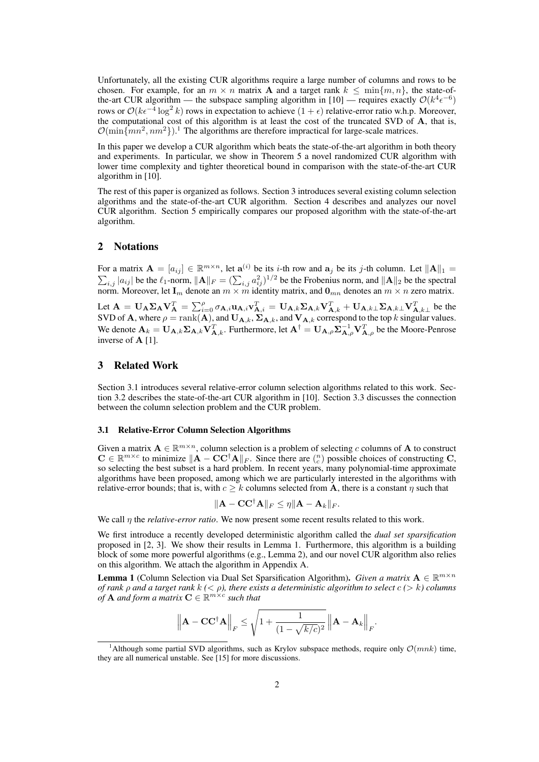Unfortunately, all the existing CUR algorithms require a large number of columns and rows to be chosen. For example, for an  $m \times n$  matrix **A** and a target rank  $k \leq \min\{m, n\}$ , the state-ofthe-art CUR algorithm — the subspace sampling algorithm in [10] — requires exactly  $O(k^4 \epsilon^{-6})$ rows or  $O(k\epsilon^{-4} \log^2 k)$  rows in expectation to achieve  $(1 + \epsilon)$  relative-error ratio w.h.p. Moreover, the computational cost of this algorithm is at least the cost of the truncated SVD of **A**, that is,  $\mathcal{O}(\min\{mn^2, nm^2\})$ .<sup>1</sup> The algorithms are therefore impractical for large-scale matrices.

In this paper we develop a CUR algorithm which beats the state-of-the-art algorithm in both theory and experiments. In particular, we show in Theorem 5 a novel randomized CUR algorithm with lower time complexity and tighter theoretical bound in comparison with the state-of-the-art CUR algorithm in [10].

The rest of this paper is organized as follows. Section 3 introduces several existing column selection algorithms and the state-of-the-art CUR algorithm. Section 4 describes and analyzes our novel CUR algorithm. Section 5 empirically compares our proposed algorithm with the state-of-the-art algorithm.

# 2 Notations

For a matrix  $\mathbf{A} = [a_{ij}] \in \mathbb{R}^{m \times n}$ , let  $\mathbf{a}^{(i)}$ ∑ be its *i*-th row and  $a_j$  be its *j*-th column. Let  $||A||_1 =$ *i*,*j*  $|a_{ij}|$  be the  $\ell_1$ -norm,  $||A||_F = (\sum_{i,j} a_{ij}^2)^{1/2}$  be the Frobenius norm, and  $||A||_2$  be the spectral norm. Moreover, let  $\mathbf{I}_m$  denote an  $m \times m$  identity matrix, and  $\mathbf{0}_{mn}$  denotes an  $m \times n$  zero matrix.

Let  $\mathbf{A} = \mathbf{U}_{\mathbf{A}} \mathbf{\Sigma}_{\mathbf{A}} \mathbf{V}_{\mathbf{A}}^T = \sum_{i=0}^{\rho} \sigma_{\mathbf{A},i} \mathbf{u}_{\mathbf{A},i} \mathbf{v}_{\mathbf{A},i}^T = \mathbf{U}_{\mathbf{A},k} \mathbf{\Sigma}_{\mathbf{A},k} \mathbf{V}_{\mathbf{A},k}^T + \mathbf{U}_{\mathbf{A},k} \mathbf{\Sigma}_{\mathbf{A},k} \mathbf{\Sigma}_{\mathbf{A},k}^T$  be the SVD of **A**, where  $\rho = \text{rank}(\mathbf{A})$ , and  $\mathbf{U}_{\mathbf{A},k}$ ,  $\Sigma_{\mathbf{A},k}$ , and  $\mathbf{V}_{\mathbf{A},k}$  correspond to the top *k* singular values. We denote  $\mathbf{A}_k = \mathbf{U}_{\mathbf{A},k} \mathbf{\Sigma}_{\mathbf{A},k} \mathbf{V}_{\mathbf{A},k}^T$ . Furthermore, let  $\mathbf{A}^\dagger = \mathbf{U}_{\mathbf{A},\rho} \mathbf{\Sigma}_{\mathbf{A},\rho}^{-1} \mathbf{V}_{\mathbf{A},\rho}^T$  be the Moore-Penrose inverse of **A** [1].

## 3 Related Work

Section 3.1 introduces several relative-error column selection algorithms related to this work. Section 3.2 describes the state-of-the-art CUR algorithm in [10]. Section 3.3 discusses the connection between the column selection problem and the CUR problem.

#### 3.1 Relative-Error Column Selection Algorithms

Given a matrix  $A \in \mathbb{R}^{m \times n}$ , column selection is a problem of selecting *c* columns of A to construct  $\mathbf{C} \in \mathbb{R}^{m \times c}$  to minimize  $\|\mathbf{A} - \mathbf{C} \mathbf{C}^{\dagger} \mathbf{A}\|_F$ . Since there are  $\binom{n}{c}$  possible choices of constructing  $\mathbf{C}$ , so selecting the best subset is a hard problem. In recent years, many polynomial-time approximate algorithms have been proposed, among which we are particularly interested in the algorithms with relative-error bounds; that is, with  $c \geq k$  columns selected from **A**, there is a constant  $\eta$  such that

$$
\|\mathbf{A} - \mathbf{C}\mathbf{C}^{\dagger}\mathbf{A}\|_{F} \leq \eta \|\mathbf{A} - \mathbf{A}_{k}\|_{F}.
$$

We call *η* the *relative-error ratio*. We now present some recent results related to this work.

We first introduce a recently developed deterministic algorithm called the *dual set sparsification* proposed in [2, 3]. We show their results in Lemma 1. Furthermore, this algorithm is a building block of some more powerful algorithms (e.g., Lemma 2), and our novel CUR algorithm also relies on this algorithm. We attach the algorithm in Appendix A.

**Lemma 1** (Column Selection via Dual Set Sparsification Algorithm). *Given a matrix*  $\mathbf{A} \in \mathbb{R}^{m \times n}$ *of rank ρ and a target rank k (< ρ), there exists a deterministic algorithm to select c (> k) columns*  $\mathbf{p}$  *of* **A** and form a matrix  $\mathbf{C} \in \mathbb{R}^{m \times c}$  such that

$$
\left\| \mathbf{A} - \mathbf{C} \mathbf{C}^{\dagger} \mathbf{A} \right\|_F \leq \sqrt{1 + \frac{1}{(1 - \sqrt{k/c})^2}} \left\| \mathbf{A} - \mathbf{A}_k \right\|_F.
$$

<sup>&</sup>lt;sup>1</sup>Although some partial SVD algorithms, such as Krylov subspace methods, require only  $\mathcal{O}(mnk)$  time, they are all numerical unstable. See [15] for more discussions.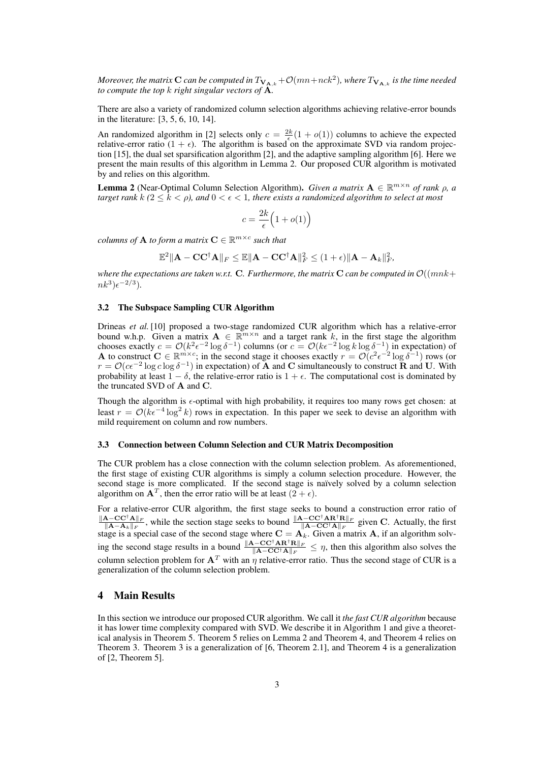*Moreover, the matrix*  ${\bf C}$  *can be computed in*  $T_{{\bf V}_{{\bf A},k}}+{\cal O}(mn+nck^2)$ *, where*  $T_{{\bf V}_{{\bf A},k}}$  *is the time needed to compute the top k right singular vectors of* **A***.*

There are also a variety of randomized column selection algorithms achieving relative-error bounds in the literature: [3, 5, 6, 10, 14].

An randomized algorithm in [2] selects only  $c = \frac{2k}{6}(1 + o(1))$  columns to achieve the expected *E*  $\epsilon$  relative-error ratio (1 +  $\epsilon$ ). The algorithm is based on the approximate SVD via random projection [15], the dual set sparsification algorithm [2], and the adaptive sampling algorithm [6]. Here we present the main results of this algorithm in Lemma 2. Our proposed CUR algorithm is motivated by and relies on this algorithm.

**Lemma 2** (Near-Optimal Column Selection Algorithm). *Given a matrix*  $\mathbf{A} \in \mathbb{R}^{m \times n}$  *of rank*  $\rho$ *, a target rank*  $k$  ( $2 \le k \le p$ ), and  $0 \le \epsilon \le 1$ , there exists a randomized algorithm to select at most

$$
c = \frac{2k}{\epsilon} \Big( 1 + o(1) \Big)
$$

*columns of*  $A$  *to form a matrix*  $C \in \mathbb{R}^{m \times c}$  *such that* 

$$
\mathbb{E}^2\|{\mathbf{A}} - \mathbf{C}\mathbf{C}^\dagger{\mathbf{A}}\|_F \leq \mathbb{E}\|{\mathbf{A}} - \mathbf{C}\mathbf{C}^\dagger{\mathbf{A}}\|_F^2 \leq (1+\epsilon)\|{\mathbf{A}}-{\mathbf{A}}_k\|_F^2,
$$

*where the expectations are taken w.r.t.* **C***. Furthermore, the matrix* **C** *can be computed in O*((*mnk*+  $nk^3$ ) $\epsilon^{-2/3}$ ).

#### 3.2 The Subspace Sampling CUR Algorithm

Drineas *et al.* [10] proposed a two-stage randomized CUR algorithm which has a relative-error bound w.h.p. Given a matrix  $A \in \mathbb{R}^{m \times n}$  and a target rank k, in the first stage the algorithm chooses exactly  $c = O(k^2 \epsilon^{-2} \log \delta^{-1})$  columns (or  $c = O(k \epsilon^{-2} \log k \log \delta^{-1})$  in expectation) of **A** to construct **C** ∈  $\mathbb{R}^{m \times c}$ ; in the second stage it chooses exactly  $r = \mathcal{O}(c^2 \epsilon^{-2} \log \delta^{-1})$  rows (or  $r = \mathcal{O}(c\epsilon^{-2} \log c \log \delta^{-1})$  in expectation) of **A** and **C** simultaneously to construct **R** and **U**. With probability at least  $1 - \delta$ , the relative-error ratio is  $1 + \epsilon$ . The computational cost is dominated by the truncated SVD of **A** and **C**.

Though the algorithm is  $\epsilon$ -optimal with high probability, it requires too many rows get chosen: at least  $r = O(ke^{-4} \log^2 k)$  rows in expectation. In this paper we seek to devise an algorithm with mild requirement on column and row numbers.

#### 3.3 Connection between Column Selection and CUR Matrix Decomposition

The CUR problem has a close connection with the column selection problem. As aforementioned, the first stage of existing CUR algorithms is simply a column selection procedure. However, the second stage is more complicated. If the second stage is naïvely solved by a column selection algorithm on  $A^T$ , then the error ratio will be at least  $(2 + \epsilon)$ .

For a relative-error CUR algorithm, the first stage seeks to bound a construction error ratio of *∥***A***−***CC***†***A***∥<sup>F</sup>*  $\frac{\mathbf{A} - \mathbf{C}\mathbf{C}^{\mathsf{T}}\mathbf{A}||_F}{\|\mathbf{A} - \mathbf{A}_k\|_F}$ , while the section stage seeks to bound  $\frac{\|\mathbf{A} - \mathbf{C}\mathbf{C}^{\mathsf{T}}\mathbf{A}\mathbf{R}^{\mathsf{T}}\mathbf{R}\|_F}{\|\mathbf{A} - \mathbf{C}\mathbf{C}^{\mathsf{T}}\mathbf{A}\|_F}$  given C. Actually, the first stage is a special case of the second stage where  $\mathbf{C} = \mathbf{A}_k$ . Given a matrix **A**, if an algorithm solving the second stage results in a bound  $\frac{\|A - CC^{\dagger}AR^{\dagger}R\|_F}{\|A - CC^{\dagger}A\|_F} \leq \eta$ , then this algorithm also solves the column selection problem for  $A^T$  with an  $\eta$  relative-error ratio. Thus the second stage of CUR is a generalization of the column selection problem.

# 4 Main Results

In this section we introduce our proposed CUR algorithm. We call it *the fast CUR algorithm* because it has lower time complexity compared with SVD. We describe it in Algorithm 1 and give a theoretical analysis in Theorem 5. Theorem 5 relies on Lemma 2 and Theorem 4, and Theorem 4 relies on Theorem 3. Theorem 3 is a generalization of [6, Theorem 2.1], and Theorem 4 is a generalization of [2, Theorem 5].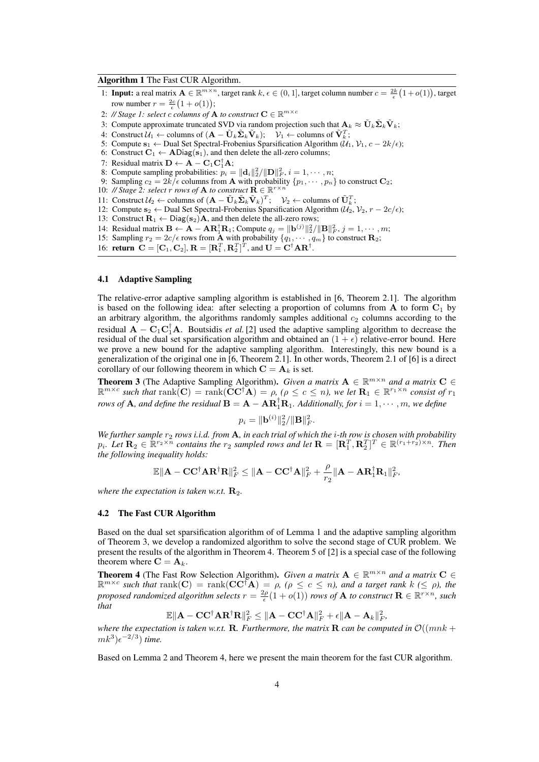#### Algorithm 1 The Fast CUR Algorithm.

- 1: **Input:** a real matrix  $\mathbf{A} \in \mathbb{R}^{m \times n}$ , target rank  $k, \epsilon \in (0, 1]$ , target column number  $c = \frac{2k}{\epsilon}(1 + o(1))$ , target row number  $r = \frac{2c}{\epsilon} (1 + o(1));$
- 2: // Stage 1: select *c columns of* **A** *to construct*  $\mathbf{C} \in \mathbb{R}^{m \times c}$
- 3: Compute approximate truncated SVD via random projection such that  $\mathbf{A}_k \approx \tilde{\mathbf{U}}_k \tilde{\boldsymbol{\Sigma}}_k \tilde{\mathbf{V}}_k$ ;
- $4$ : Construct  $\mathcal{U}_1$  ← columns of  $(\mathbf{A} \tilde{\mathbf{U}}_k \tilde{\mathbf{\Sigma}}_k \tilde{\mathbf{V}}_k);$   $\mathcal{V}_1$  ← columns of  $\tilde{\mathbf{V}}_k^T$ ;
- 5: Compute  $\mathbf{s}_1$  ← Dual Set Spectral-Frobenius Sparsification Algorithm ( $\mathcal{U}_1$ ,  $\mathcal{V}_1$ ,  $c 2k/\epsilon$ );
- 6: Construct  $C_1 \leftarrow \text{ADiag}(s_1)$ , and then delete the all-zero columns;
- 7: Residual matrix  $\mathbf{D} \leftarrow \mathbf{A} \mathbf{C}_1 \mathbf{C}_1^{\mathsf{T}} \mathbf{A}$ ;
- 8: Compute sampling probabilities:  $p_i = ||\mathbf{d}_i||_2^2 / ||\mathbf{D}||_F^2$ ,  $i = 1, \dots, n$ ;
- 9: Sampling  $c_2 = 2k/\epsilon$  columns from **A** with probability  $\{p_1, \dots, p_n\}$  to construct  $\mathbf{C}_2$ ;
- 10: // Stage 2: select *r rows of* **A** *to construct*  $\mathbf{R} \in \mathbb{R}^{r \times n}$
- 11: Construct  $U_2$  ← columns of  $(\mathbf{A} \tilde{\mathbf{U}}_k \tilde{\mathbf{\Sigma}}_k \tilde{\mathbf{V}}_k)^T$ ;  $V_2$  ← columns of  $\tilde{\mathbf{U}}_k^T$ ;
- 12: Compute  $\mathbf{s}_2$  ← Dual Set Spectral-Frobenius Sparsification Algorithm ( $\mathcal{U}_2$ ,  $\mathcal{V}_2$ ,  $r 2c/\epsilon$ );
- 13: Construct  $\mathbf{R}_1 \leftarrow \text{Diag}(\mathbf{s}_2) \mathbf{A}$ , and then delete the all-zero rows;
- 14: Residual matrix  $\mathbf{B} \leftarrow \mathbf{A} \mathbf{A} \mathbf{R}_1^{\dagger} \mathbf{R}_1$ ; Compute  $q_j = ||\mathbf{b}^{(j)}||_2^2 / ||\mathbf{B}||_F^2$ ,  $j = 1, \cdots, m$ ;
- 15: Sampling  $r_2 = 2c/\epsilon$  rows from **A** with probability  $\{q_1, \dots, q_m\}$  to construct **R**<sub>2</sub>;
- 16: **return**  $C = [C_1, C_2], R = [R_1^T, R_2^T]^T$ , and  $U = C^{\dagger} A R^{\dagger}$ .

#### 4.1 Adaptive Sampling

The relative-error adaptive sampling algorithm is established in [6, Theorem 2.1]. The algorithm is based on the following idea: after selecting a proportion of columns from **A** to form **C**<sup>1</sup> by an arbitrary algorithm, the algorithms randomly samples additional  $c_2$  columns according to the residual  $\mathbf{A} - \mathbf{C}_1 \mathbf{C}_1^{\mathsf{T}} \mathbf{A}$ . Boutsidis *et al.* [2] used the adaptive sampling algorithm to decrease the residual of the dual set sparsification algorithm and obtained an  $(1 + \epsilon)$  relative-error bound. Here we prove a new bound for the adaptive sampling algorithm. Interestingly, this new bound is a generalization of the original one in [6, Theorem 2.1]. In other words, Theorem 2.1 of [6] is a direct corollary of our following theorem in which  $C = A_k$  is set.

**Theorem 3** (The Adaptive Sampling Algorithm). *Given a matrix*  $\mathbf{A} \in \mathbb{R}^{m \times n}$  *and a matrix*  $\mathbf{C} \in$  $\mathbb{R}^{m \times c}$  such that  $\text{rank}(\mathbf{\tilde{C}C^{\dagger}A}) = \rho$ , ( $\rho \leq c \leq n$ ), we let  $\mathbf{R}_1 \in \mathbb{R}^{r_1 \times n}$  consist of  $r_1$ *rows of* **A**, and define the residual  $B = A - AR_1^T R_1$ . Additionally, for  $i = 1, \dots, m$ , we define

$$
p_i = \|\mathbf{b}^{(i)}\|_2^2 / \|\mathbf{B}\|_F^2.
$$

*We further sample r*<sup>2</sup> *rows i.i.d. from* **A***, in each trial of which the i-th row is chosen with probability*  $p_i$ . Let  $\mathbf{R}_2 \in \mathbb{R}^{r_2 \times n}$  contains the  $r_2$  sampled rows and let  $\mathbf{R} = [\mathbf{R}_1^T, \mathbf{R}_2^T]^T \in \mathbb{R}^{(r_1+r_2)\times n}$ . Then *the following inequality holds:*

$$
\mathbb{E}\|\mathbf{A}-\mathbf{C}\mathbf{C}^{\dagger}\mathbf{A}\mathbf{R}^{\dagger}\mathbf{R}\|_{F}^{2} \leq \|\mathbf{A}-\mathbf{C}\mathbf{C}^{\dagger}\mathbf{A}\|_{F}^{2}+\frac{\rho}{r_{2}}\|\mathbf{A}-\mathbf{A}\mathbf{R}_{1}^{\dagger}\mathbf{R}_{1}\|_{F}^{2},
$$

*where the expectation is taken w.r.t.*  $\mathbf{R}_{2}$ .

#### 4.2 The Fast CUR Algorithm

Based on the dual set sparsification algorithm of of Lemma 1 and the adaptive sampling algorithm of Theorem 3, we develop a randomized algorithm to solve the second stage of CUR problem. We present the results of the algorithm in Theorem 4. Theorem 5 of [2] is a special case of the following theorem where  $\mathbf{C} = \mathbf{A}_k$ .

**Theorem 4** (The Fast Row Selection Algorithm). *Given a matrix*  $\mathbf{A} \in \mathbb{R}^{m \times n}$  and a matrix  $\mathbf{C} \in$  $\mathbb{R}^{m \times c}$  such that  $\text{rank}(\mathbf{C}) = \text{rank}(\mathbf{C} \mathbf{C}^{\dagger} \mathbf{A}) = \rho$ , ( $\rho \leq c \leq n$ ), and a target rank  $k \leq \rho$ ), the *proposed randomized algorithm selects*  $r = \frac{2\rho}{\epsilon}(1 + o(1))$  *rows of* **A** *to construct*  $\mathbf{R} \in \mathbb{R}^{r \times n}$ *, such that*

$$
\mathbb{E}\|{\mathbf{A}} - \mathbf{C} \mathbf{C}^\dagger {\mathbf{A}} \mathbf{R}^\dagger \mathbf{R}\|_F^2 \leq \|{\mathbf{A}} - \mathbf{C} \mathbf{C}^\dagger {\mathbf{A}}\|_F^2 + \epsilon \|{\mathbf{A}} - {\mathbf{A}}_k\|_F^2,
$$

*where the expectation is taken w.r.t.* **R***. Furthermore, the matrix* **R** *can be computed in*  $O((mnk + 1))$  $mk^3$ ) $\n\t\epsilon^{-2/3}$ ) *time.* 

Based on Lemma 2 and Theorem 4, here we present the main theorem for the fast CUR algorithm.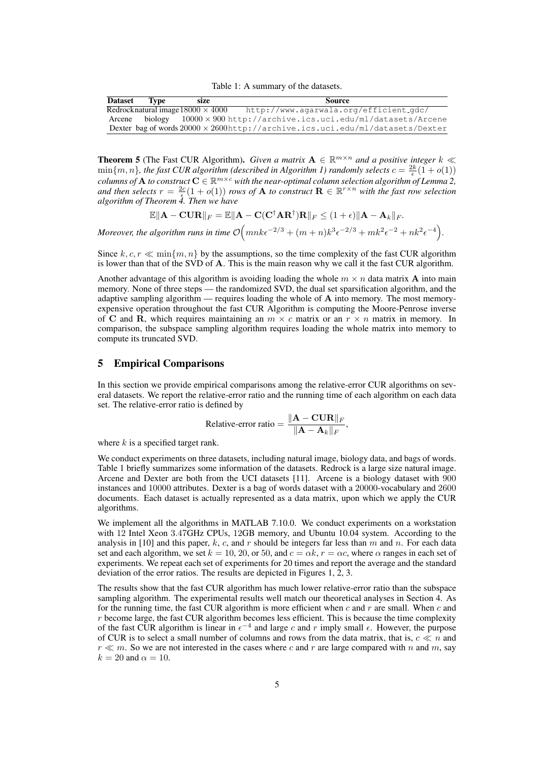Table 1: A summary of the datasets.

| <b>Dataset</b> | Type | size                                     | <b>Source</b>                                                                         |
|----------------|------|------------------------------------------|---------------------------------------------------------------------------------------|
|                |      | Redrocknatural image $18000 \times 4000$ | http://www.agarwala.org/efficient_gdc/                                                |
| Arcene         |      |                                          | biology $10000 \times 900$ http://archive.ics.uci.edu/ml/datasets/Arcene              |
|                |      |                                          | Dexter bag of words $20000 \times 2600$ http://archive.ics.uci.edu/ml/datasets/Dexter |

**Theorem 5** (The Fast CUR Algorithm). *Given a matrix*  $A \in \mathbb{R}^{m \times n}$  *and a positive integer*  $k \ll n$  $\min\{m, n\}$ , the fast CUR algorithm (described in Algorithm 1) randomly selects  $c = \frac{2k}{\epsilon}(1 + o(1))$  $\it{columns\ of\ A\ to\ construct\ C} \in \mathbb{R}^{m\times c}$  with the near-optimal column selection algorithm of Lemma 2, *and then selects*  $r = \frac{2c}{\epsilon}(1 + o(1))$  *rows of* **A** *to construct*  $\mathbf{R} \in \mathbb{R}^{r \times n}$  *with the fast row selection algorithm of Theorem 4. Then we have*

$$
\mathbb{E}\|\mathbf{A}-\mathbf{C}\mathbf{U}\mathbf{R}\|_F = \mathbb{E}\|\mathbf{A}-\mathbf{C}(\mathbf{C}^\dagger\mathbf{A}\mathbf{R}^\dagger)\mathbf{R}\|_F \leq (1+\epsilon)\|\mathbf{A}-\mathbf{A}_k\|_F.
$$

*Moreover, the algorithm runs in time*  $\mathcal{O}(mnk\epsilon^{-2/3} + (m+n)k^3\epsilon^{-2/3} + mk^2\epsilon^{-2} + nk^2\epsilon^{-4})$ .

Since  $k, c, r \ll \min\{m, n\}$  by the assumptions, so the time complexity of the fast CUR algorithm is lower than that of the SVD of **A**. This is the main reason why we call it the fast CUR algorithm.

Another advantage of this algorithm is avoiding loading the whole  $m \times n$  data matrix **A** into main memory. None of three steps — the randomized SVD, the dual set sparsification algorithm, and the adaptive sampling algorithm — requires loading the whole of **A** into memory. The most memoryexpensive operation throughout the fast CUR Algorithm is computing the Moore-Penrose inverse of **C** and **R**, which requires maintaining an  $m \times c$  matrix or an  $r \times n$  matrix in memory. In comparison, the subspace sampling algorithm requires loading the whole matrix into memory to compute its truncated SVD.

# 5 Empirical Comparisons

In this section we provide empirical comparisons among the relative-error CUR algorithms on several datasets. We report the relative-error ratio and the running time of each algorithm on each data set. The relative-error ratio is defined by

Relative-error ratio = 
$$
\frac{\|\mathbf{A} - \mathbf{C}\mathbf{U}\mathbf{R}\|_F}{\|\mathbf{A} - \mathbf{A}_k\|_F},
$$

where *k* is a specified target rank.

We conduct experiments on three datasets, including natural image, biology data, and bags of words. Table 1 briefly summarizes some information of the datasets. Redrock is a large size natural image. Arcene and Dexter are both from the UCI datasets [11]. Arcene is a biology dataset with 900 instances and 10000 attributes. Dexter is a bag of words dataset with a 20000-vocabulary and 2600 documents. Each dataset is actually represented as a data matrix, upon which we apply the CUR algorithms.

We implement all the algorithms in MATLAB 7.10.0. We conduct experiments on a workstation with 12 Intel Xeon 3*.*47GHz CPUs, 12GB memory, and Ubuntu 10.04 system. According to the analysis in [10] and this paper,  $k$ ,  $c$ , and  $r$  should be integers far less than  $m$  and  $n$ . For each data set and each algorithm, we set  $k = 10, 20$ , or 50, and  $c = \alpha k$ ,  $r = \alpha c$ , where  $\alpha$  ranges in each set of experiments. We repeat each set of experiments for 20 times and report the average and the standard deviation of the error ratios. The results are depicted in Figures 1, 2, 3.

The results show that the fast CUR algorithm has much lower relative-error ratio than the subspace sampling algorithm. The experimental results well match our theoretical analyses in Section 4. As for the running time, the fast CUR algorithm is more efficient when *c* and *r* are small. When *c* and *r* become large, the fast CUR algorithm becomes less efficient. This is because the time complexity of the fast CUR algorithm is linear in  $\epsilon^{-4}$  and large c and r imply small  $\epsilon$ . However, the purpose of CUR is to select a small number of columns and rows from the data matrix, that is,  $c \ll n$  and  $r \ll m$ . So we are not interested in the cases where *c* and *r* are large compared with *n* and *m*, say  $k = 20$  and  $\alpha = 10$ .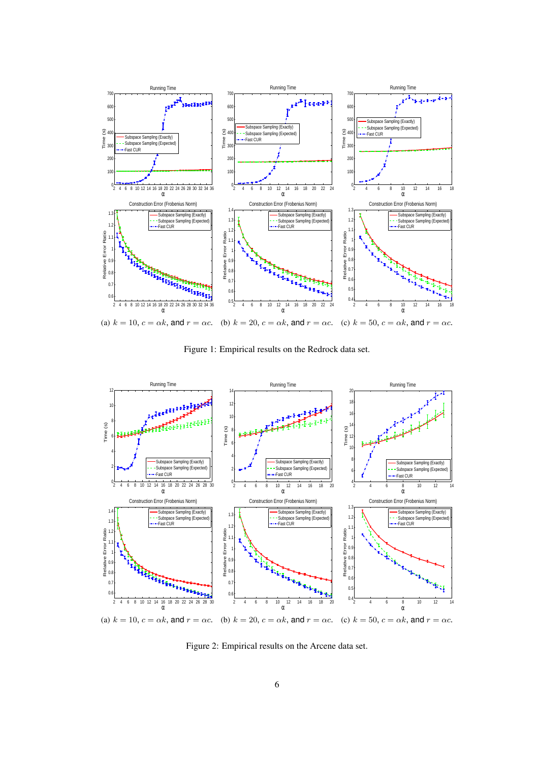

Figure 1: Empirical results on the Redrock data set.



Figure 2: Empirical results on the Arcene data set.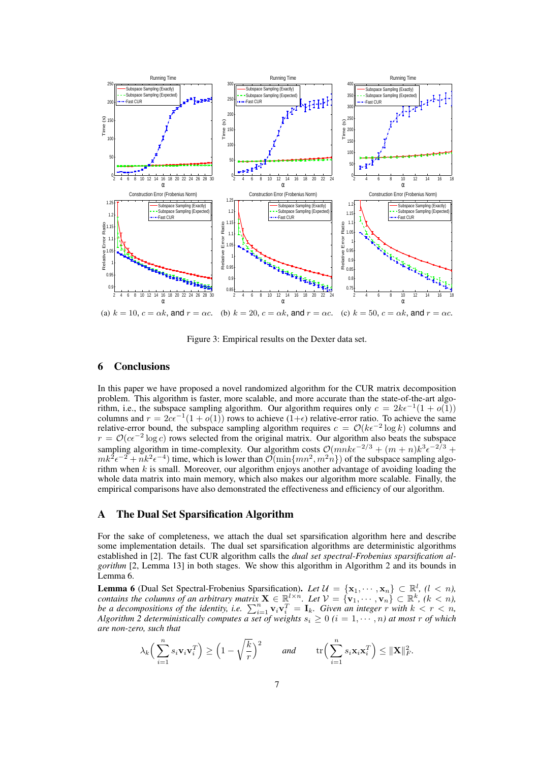

Figure 3: Empirical results on the Dexter data set.

# 6 Conclusions

In this paper we have proposed a novel randomized algorithm for the CUR matrix decomposition problem. This algorithm is faster, more scalable, and more accurate than the state-of-the-art algorithm, i.e., the subspace sampling algorithm. Our algorithm requires only  $c = 2k\epsilon^{-1}(1 + o(1))$ columns and  $r = 2c\epsilon^{-1}(1 + o(1))$  rows to achieve (1+ $\epsilon$ ) relative-error ratio. To achieve the same relative-error bound, the subspace sampling algorithm requires  $c = \mathcal{O}(k\epsilon^{-2} \log k)$  columns and  $r = O(c\epsilon^{-2} \log c)$  rows selected from the original matrix. Our algorithm also beats the subspace sampling algorithm in time-complexity. Our algorithm costs  $\mathcal{O}(mnk\epsilon^{-2/3} + (m+n)k^3\epsilon^{-2/3} +$  $mk^{2} \epsilon^{-2} + nk^{2} \epsilon^{-4}$ ) time, which is lower than  $\mathcal{O}(\min\{mn^{2}, m^{2}n\})$  of the subspace sampling algorithm when  $k$  is small. Moreover, our algorithm enjoys another advantage of avoiding loading the whole data matrix into main memory, which also makes our algorithm more scalable. Finally, the empirical comparisons have also demonstrated the effectiveness and efficiency of our algorithm.

# A The Dual Set Sparsification Algorithm

For the sake of completeness, we attach the dual set sparsification algorithm here and describe some implementation details. The dual set sparsification algorithms are deterministic algorithms established in [2]. The fast CUR algorithm calls the *dual set spectral-Frobenius sparsification algorithm* [2, Lemma 13] in both stages. We show this algorithm in Algorithm 2 and its bounds in Lemma 6.

**Lemma 6** (Dual Set Spectral-Frobenius Sparsification). Let  $\mathcal{U} = {\mathbf{x}_1, \dots, \mathbf{x}_n} \subset \mathbb{R}^l$ ,  $(l < n)$ , contains the columns of an arbitrary matrix  $\mathbf{X} \in \mathbb{R}^{l \times n}$ . Let  $\mathcal{V} = \{ \mathbf{v}_1, \cdots, \mathbf{v}_n \} \subset \mathbb{R}^k$ ,  $(k < n)$ , *be a decompositions of the identity, i.e.*  $\sum_{i=1}^{n} \mathbf{v}_i \mathbf{v}_i^T = \mathbf{I}_k$ *. Given an integer r with*  $k < r < n$ , *Algorithm 2 deterministically computes a set of weights*  $s_i \geq 0$   $(i = 1, \dots, n)$  at most *r* of which *are non-zero, such that*

$$
\lambda_k \left( \sum_{i=1}^n s_i \mathbf{v}_i \mathbf{v}_i^T \right) \ge \left( 1 - \sqrt{\frac{k}{r}} \right)^2 \quad \text{and} \quad \operatorname{tr} \left( \sum_{i=1}^n s_i \mathbf{x}_i \mathbf{x}_i^T \right) \le ||\mathbf{X}||_F^2.
$$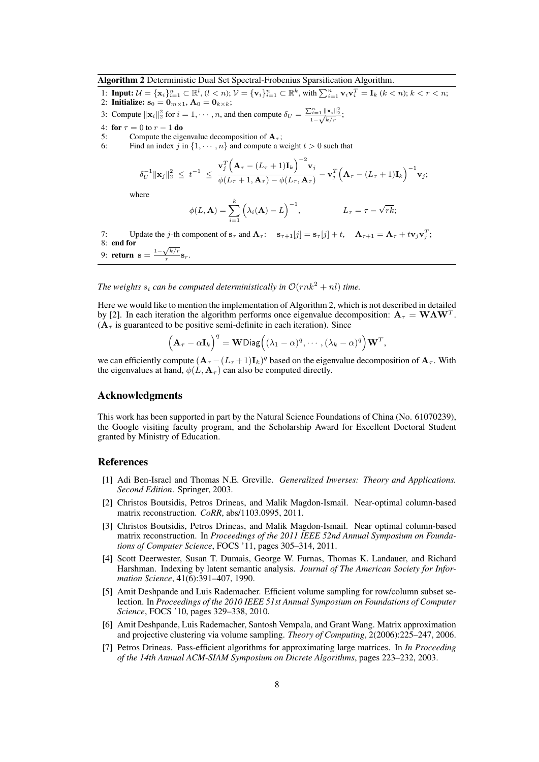#### Algorithm 2 Deterministic Dual Set Spectral-Frobenius Sparsification Algorithm.

- 1: **Input:**  $\mathcal{U} = {\mathbf{x}_i}_{i=1}^n \subset \mathbb{R}^l$ ,  $(l < n)$ ;  $\mathcal{V} = {\mathbf{v}_i}_{i=1}^n \subset \mathbb{R}^k$ , with  $\sum_{i=1}^n {\mathbf{v}_i}{\mathbf{v}_i}^T = {\mathbf{I}_k}$   $(k < n)$ ;  $k < r < n$ ;
- 2: **Initialize:**  $s_0 = 0_{m \times 1}$ ,  $A_0 = 0_{k \times k}$ ;

3: Compute  $\|\mathbf{x}_i\|_2^2$  for  $i = 1, \dots, n$ , and then compute  $\delta_U = \frac{\sum_{i=1}^n \|\mathbf{x}_i\|_2^2}{1 - \sqrt{k/r}}$ ;

- 4: for  $\tau = 0$  to  $r 1$  do
- 5: Compute the eigenvalue decomposition of  $A_7$ ;
- 6: Find an index *j* in  $\{1, \dots, n\}$  and compute a weight  $t > 0$  such that

$$
\delta_U^{-1} \|\mathbf{x}_j\|_2^2 \ \leq \ t^{-1} \ \leq \ \frac{\mathbf{v}_j^T \Big(\mathbf{A}_\tau - (L_\tau + 1)\mathbf{I}_k\Big)^{-2} \mathbf{v}_j}{\phi(L_\tau + 1, \mathbf{A}_\tau) - \phi(L_\tau, \mathbf{A}_\tau)} - \mathbf{v}_j^T \Big(\mathbf{A}_\tau - (L_\tau + 1)\mathbf{I}_k\Big)^{-1} \mathbf{v}_j;
$$

where

$$
\phi(L, \mathbf{A}) = \sum_{i=1}^{k} \left(\lambda_i(\mathbf{A}) - L\right)^{-1}, \qquad L_{\tau} = \tau - \sqrt{rk};
$$

7: Update the j-th component of  $\mathbf{s}_{\tau}$  and  $\mathbf{A}_{\tau}$ :  $\mathbf{s}_{\tau+1}[j] = \mathbf{s}_{\tau}[j] + t$ ,  $\mathbf{A}_{\tau+1} = \mathbf{A}_{\tau} + t\mathbf{v}_j\mathbf{v}_j^T$ ; 8: end for

8: end for<br>9: return  $s = \frac{1 - \sqrt{k/r}}{r}$  $\frac{\sqrt{\kappa/r}}{r}$ **s**<sub>r</sub>.

*The weights s<sub>i</sub> can be computed deterministically in*  $\mathcal{O}(rnk^2 + nl)$  *time.* 

Here we would like to mention the implementation of Algorithm 2, which is not described in detailed by [2]. In each iteration the algorithm performs once eigenvalue decomposition:  $\mathbf{A}_{\tau} = \mathbf{W} \mathbf{\Lambda} \mathbf{W}^T$ .  $(A<sub>\tau</sub>$  is guaranteed to be positive semi-definite in each iteration). Since

$$
\left(\mathbf{A}_{\tau}-\alpha\mathbf{I}_{k}\right)^{q}=\mathbf{W}\text{Diag}\left((\lambda_{1}-\alpha)^{q},\cdots,(\lambda_{k}-\alpha)^{q}\right)\mathbf{W}^{T},
$$

we can efficiently compute  $(A_\tau - (L_\tau + 1)I_k)^q$  based on the eigenvalue decomposition of  $A_\tau$ . With the eigenvalues at hand,  $\phi(L, \mathbf{A}_{\tau})$  can also be computed directly.

# Acknowledgments

This work has been supported in part by the Natural Science Foundations of China (No. 61070239), the Google visiting faculty program, and the Scholarship Award for Excellent Doctoral Student granted by Ministry of Education.

#### References

- [1] Adi Ben-Israel and Thomas N.E. Greville. *Generalized Inverses: Theory and Applications. Second Edition*. Springer, 2003.
- [2] Christos Boutsidis, Petros Drineas, and Malik Magdon-Ismail. Near-optimal column-based matrix reconstruction. *CoRR*, abs/1103.0995, 2011.
- [3] Christos Boutsidis, Petros Drineas, and Malik Magdon-Ismail. Near optimal column-based matrix reconstruction. In *Proceedings of the 2011 IEEE 52nd Annual Symposium on Foundations of Computer Science*, FOCS '11, pages 305–314, 2011.
- [4] Scott Deerwester, Susan T. Dumais, George W. Furnas, Thomas K. Landauer, and Richard Harshman. Indexing by latent semantic analysis. *Journal of The American Society for Information Science*, 41(6):391–407, 1990.
- [5] Amit Deshpande and Luis Rademacher. Efficient volume sampling for row/column subset selection. In *Proceedings of the 2010 IEEE 51st Annual Symposium on Foundations of Computer Science*, FOCS '10, pages 329–338, 2010.
- [6] Amit Deshpande, Luis Rademacher, Santosh Vempala, and Grant Wang. Matrix approximation and projective clustering via volume sampling. *Theory of Computing*, 2(2006):225–247, 2006.
- [7] Petros Drineas. Pass-efficient algorithms for approximating large matrices. In *In Proceeding of the 14th Annual ACM-SIAM Symposium on Dicrete Algorithms*, pages 223–232, 2003.